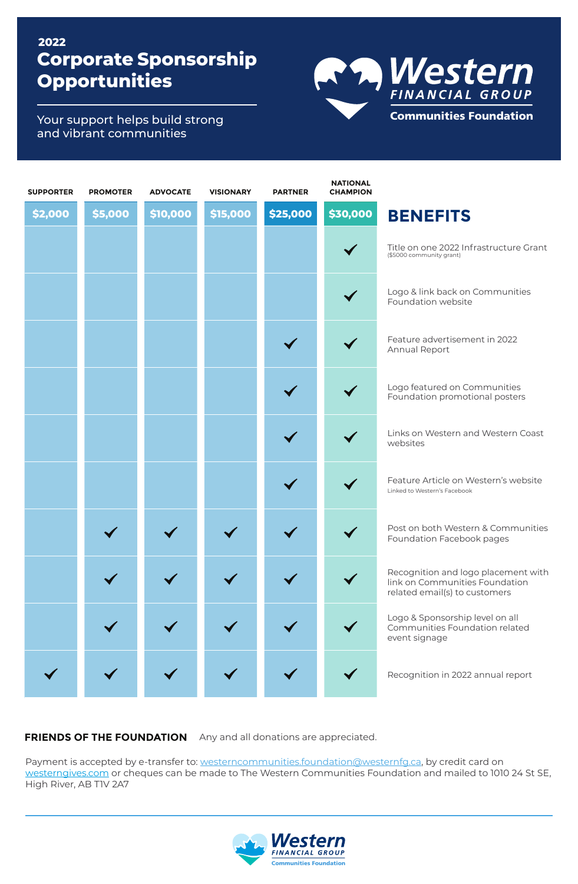## **Corporate Sponsorship Opportunities 2022**

R<sup>A</sup> Mestern Communities Foundation

Your support helps build strong and vibrant communities

| <b>SUPPORTER</b> | <b>PROMOTER</b> | <b>ADVOCATE</b> | <b>VISIONARY</b> | <b>PARTNER</b> | <b>NATIONAL</b><br><b>CHAMPION</b> |                                                                                                        |
|------------------|-----------------|-----------------|------------------|----------------|------------------------------------|--------------------------------------------------------------------------------------------------------|
| \$2,000          | \$5,000         | \$10,000        | \$15,000         | \$25,000       | \$30,000                           | <b>BENEFITS</b>                                                                                        |
|                  |                 |                 |                  |                | $\blacktriangledown$               | Title on one 2022 Infrastructure Grant<br>(\$5000 community grant)                                     |
|                  |                 |                 |                  |                |                                    | Logo & link back on Communities<br>Foundation website                                                  |
|                  |                 |                 |                  |                |                                    | Feature advertisement in 2022<br>Annual Report                                                         |
|                  |                 |                 |                  |                |                                    | Logo featured on Communities<br>Foundation promotional posters                                         |
|                  |                 |                 |                  |                |                                    | Links on Western and Western Coast<br>websites                                                         |
|                  |                 |                 |                  |                |                                    | Feature Article on Western's website<br>Linked to Western's Facebook                                   |
|                  |                 |                 |                  |                |                                    | Post on both Western & Communities<br>Foundation Facebook pages                                        |
|                  |                 |                 |                  |                |                                    | Recognition and logo placement with<br>link on Communities Foundation<br>related email(s) to customers |
|                  |                 |                 |                  |                |                                    | Logo & Sponsorship level on all<br>Communities Foundation related<br>event signage                     |
|                  |                 |                 |                  |                |                                    | Recognition in 2022 annual report                                                                      |

FRIENDS OF THE FOUNDATION Any and all donations are appreciated.

Payment is accepted by e-transfer to: westerncommunities.foundation@westernfg.ca, by credit card on westerngives.com or cheques can be made to The Western Communities Foundation and mailed to 1010 24 St SE, High River, AB T1V 2A7